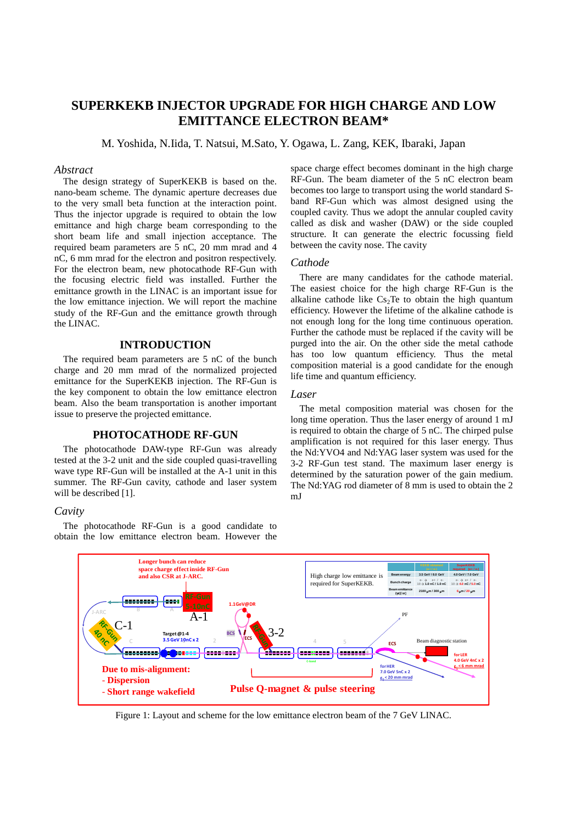# **SUPERKEKB INJECTOR UPGRADE FOR HIGH CHARGE AND LOW EMITTANCE ELECTRON BEAM\***

M. Yoshida, N.Iida, T. Natsui, M.Sato, Y. Ogawa, L. Zang, KEK, Ibaraki, Japan

## *Abstract*

The design strategy of SuperKEKB is based on the. nano-beam scheme. The dynamic aperture decreases due to the very small beta function at the interaction point. Thus the injector upgrade is required to obtain the low emittance and high charge beam corresponding to the short beam life and small injection acceptance. The required beam parameters are 5 nC, 20 mm mrad and 4 nC, 6 mm mrad for the electron and positron respectively. For the electron beam, new photocathode RF-Gun with the focusing electric field was installed. Further the emittance growth in the LINAC is an important issue for the low emittance injection. We will report the machine study of the RF-Gun and the emittance growth through the LINAC.

# **INTRODUCTION**

The required beam parameters are 5 nC of the bunch charge and 20 mm mrad of the normalized projected emittance for the SuperKEKB injection. The RF-Gun is the key component to obtain the low emittance electron beam. Also the beam transportation is another important issue to preserve the projected emittance.

## **PHOTOCATHODE RF-GUN**

The photocathode DAW-type RF-Gun was already tested at the 3-2 unit and the side coupled quasi-travelling wave type RF-Gun will be installed at the A-1 unit in this summer. The RF-Gun cavity, cathode and laser system will be described [1].

# *Cavity*

The photocathode RF-Gun is a good candidate to obtain the low emittance electron beam. However the space charge effect becomes dominant in the high charge RF-Gun. The beam diameter of the 5 nC electron beam becomes too large to transport using the world standard Sband RF-Gun which was almost designed using the coupled cavity. Thus we adopt the annular coupled cavity called as disk and washer (DAW) or the side coupled structure. It can generate the electric focussing field between the cavity nose. The cavity

#### *Cathode*

There are many candidates for the cathode material. The easiest choice for the high charge RF-Gun is the alkaline cathode like  $Cs<sub>2</sub>Te$  to obtain the high quantum efficiency. However the lifetime of the alkaline cathode is not enough long for the long time continuous operation. Further the cathode must be replaced if the cavity will be purged into the air. On the other side the metal cathode has too low quantum efficiency. Thus the metal composition material is a good candidate for the enough life time and quantum efficiency.

#### *Laser*

The metal composition material was chosen for the long time operation. Thus the laser energy of around 1 mJ is required to obtain the charge of 5 nC. The chirped pulse amplification is not required for this laser energy. Thus the Nd:YVO4 and Nd:YAG laser system was used for the 3-2 RF-Gun test stand. The maximum laser energy is determined by the saturation power of the gain medium. The Nd:YAG rod diameter of 8 mm is used to obtain the 2 mJ



Figure 1: Layout and scheme for the low emittance electron beam of the 7 GeV LINAC.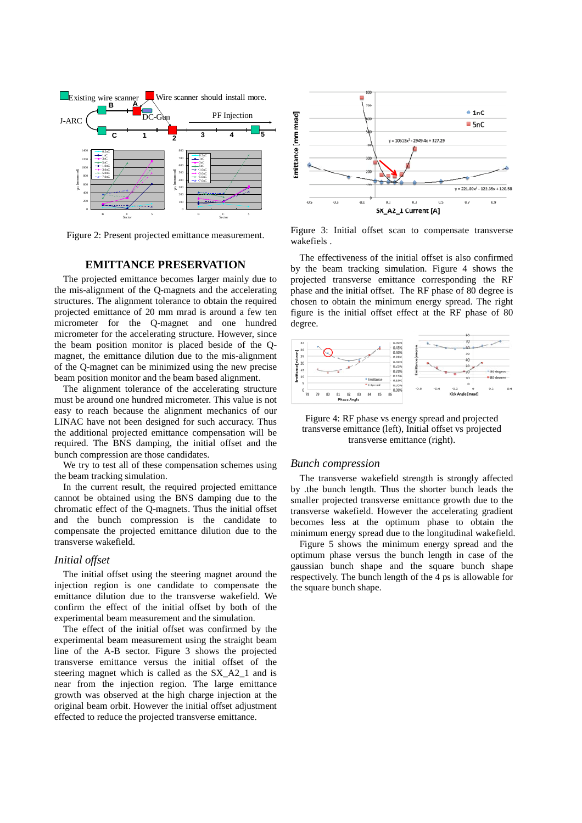

Figure 2: Present projected emittance measurement.

# **EMITTANCE PRESERVATION**

The projected emittance becomes larger mainly due to the mis-alignment of the Q-magnets and the accelerating structures. The alignment tolerance to obtain the required projected emittance of 20 mm mrad is around a few ten micrometer for the Q-magnet and one hundred micrometer for the accelerating structure. However, since the beam position monitor is placed beside of the Qmagnet, the emittance dilution due to the mis-alignment of the Q-magnet can be minimized using the new precise beam position monitor and the beam based alignment.

The alignment tolerance of the accelerating structure must be around one hundred micrometer. This value is not easy to reach because the alignment mechanics of our LINAC have not been designed for such accuracy. Thus the additional projected emittance compensation will be required. The BNS damping, the initial offset and the bunch compression are those candidates.

We try to test all of these compensation schemes using the beam tracking simulation.

In the current result, the required projected emittance cannot be obtained using the BNS damping due to the chromatic effect of the Q-magnets. Thus the initial offset and the bunch compression is the candidate to compensate the projected emittance dilution due to the transverse wakefield.

# *Initial offset*

The initial offset using the steering magnet around the injection region is one candidate to compensate the emittance dilution due to the transverse wakefield. We confirm the effect of the initial offset by both of the experimental beam measurement and the simulation.

The effect of the initial offset was confirmed by the experimental beam measurement using the straight beam line of the A-B sector. Figure 3 shows the projected transverse emittance versus the initial offset of the steering magnet which is called as the SX\_A2\_1 and is near from the injection region. The large emittance growth was observed at the high charge injection at the original beam orbit. However the initial offset adjustment effected to reduce the projected transverse emittance.



Figure 3: Initial offset scan to compensate transverse wakefiels .

The effectiveness of the initial offset is also confirmed by the beam tracking simulation. Figure 4 shows the projected transverse emittance corresponding the RF phase and the initial offset. The RF phase of 80 degree is chosen to obtain the minimum energy spread. The right figure is the initial offset effect at the RF phase of 80 degree.



Figure 4: RF phase vs energy spread and projected transverse emittance (left), Initial offset vs projected transverse emittance (right).

## *Bunch compression*

The transverse wakefield strength is strongly affected by .the bunch length. Thus the shorter bunch leads the smaller projected transverse emittance growth due to the transverse wakefield. However the accelerating gradient becomes less at the optimum phase to obtain the minimum energy spread due to the longitudinal wakefield.

Figure 5 shows the minimum energy spread and the optimum phase versus the bunch length in case of the gaussian bunch shape and the square bunch shape respectively. The bunch length of the 4 ps is allowable for the square bunch shape.